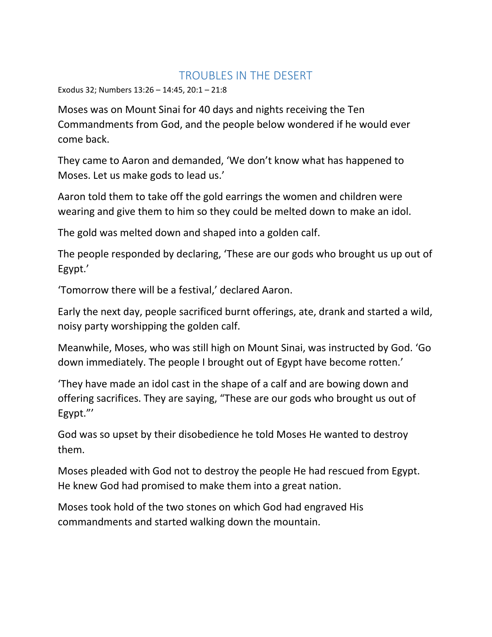## TROUBLES IN THE DESERT

Exodus 32; Numbers 13:26 – 14:45, 20:1 – 21:8

Moses was on Mount Sinai for 40 days and nights receiving the Ten Commandments from God, and the people below wondered if he would ever come back.

They came to Aaron and demanded, 'We don't know what has happened to Moses. Let us make gods to lead us.'

Aaron told them to take off the gold earrings the women and children were wearing and give them to him so they could be melted down to make an idol.

The gold was melted down and shaped into a golden calf.

The people responded by declaring, 'These are our gods who brought us up out of Egypt.'

'Tomorrow there will be a festival,' declared Aaron.

Early the next day, people sacrificed burnt offerings, ate, drank and started a wild, noisy party worshipping the golden calf.

Meanwhile, Moses, who was still high on Mount Sinai, was instructed by God. 'Go down immediately. The people I brought out of Egypt have become rotten.'

'They have made an idol cast in the shape of a calf and are bowing down and offering sacrifices. They are saying, "These are our gods who brought us out of Egypt."'

God was so upset by their disobedience he told Moses He wanted to destroy them.

Moses pleaded with God not to destroy the people He had rescued from Egypt. He knew God had promised to make them into a great nation.

Moses took hold of the two stones on which God had engraved His commandments and started walking down the mountain.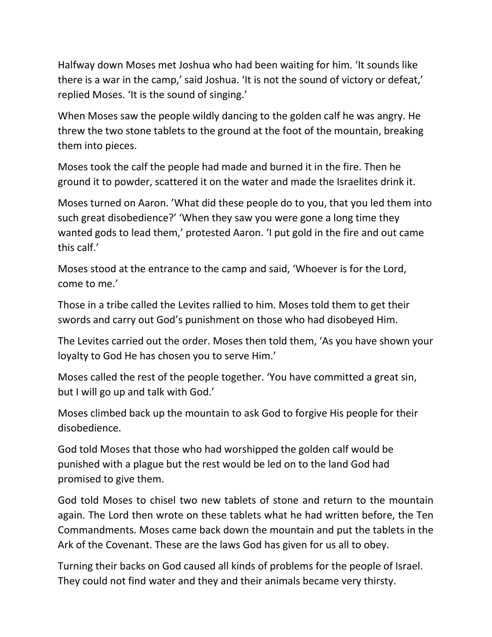Halfway down Moses met Joshua who had been waiting for him. 'It sounds like there is a war in the camp,' said Joshua. 'It is not the sound of victory or defeat,' replied Moses. 'It is the sound of singing.'

When Moses saw the people wildly dancing to the golden calf he was angry. He threw the two stone tablets to the ground at the foot of the mountain, breaking them into pieces.

Moses took the calf the people had made and burned it in the fire. Then he ground it to powder, scattered it on the water and made the Israelites drink it.

Moses turned on Aaron. 'What did these people do to you, that you led them into such great disobedience?' 'When they saw you were gone a long time they wanted gods to lead them,' protested Aaron. 'I put gold in the fire and out came this calf.'

Moses stood at the entrance to the camp and said, 'Whoever is for the Lord, come to me.'

Those in a tribe called the Levites rallied to him. Moses told them to get their swords and carry out God's punishment on those who had disobeyed Him.

The Levites carried out the order. Moses then told them, 'As you have shown your loyalty to God He has chosen you to serve Him.'

Moses called the rest of the people together. 'You have committed a great sin, but I will go up and talk with God.'

Moses climbed back up the mountain to ask God to forgive His people for their disobedience.

God told Moses that those who had worshipped the golden calf would be punished with a plague but the rest would be led on to the land God had promised to give them.

God told Moses to chisel two new tablets of stone and return to the mountain again. The Lord then wrote on these tablets what he had written before, the Ten Commandments. Moses came back down the mountain and put the tablets in the Ark of the Covenant. These are the laws God has given for us all to obey.

Turning their backs on God caused all kinds of problems for the people of Israel. They could not find water and they and their animals became very thirsty.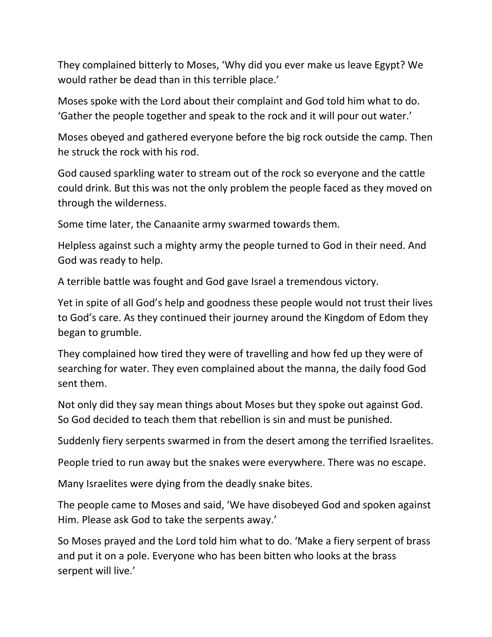They complained bitterly to Moses, 'Why did you ever make us leave Egypt? We would rather be dead than in this terrible place.'

Moses spoke with the Lord about their complaint and God told him what to do. 'Gather the people together and speak to the rock and it will pour out water.'

Moses obeyed and gathered everyone before the big rock outside the camp. Then he struck the rock with his rod.

God caused sparkling water to stream out of the rock so everyone and the cattle could drink. But this was not the only problem the people faced as they moved on through the wilderness.

Some time later, the Canaanite army swarmed towards them.

Helpless against such a mighty army the people turned to God in their need. And God was ready to help.

A terrible battle was fought and God gave Israel a tremendous victory.

Yet in spite of all God's help and goodness these people would not trust their lives to God's care. As they continued their journey around the Kingdom of Edom they began to grumble.

They complained how tired they were of travelling and how fed up they were of searching for water. They even complained about the manna, the daily food God sent them.

Not only did they say mean things about Moses but they spoke out against God. So God decided to teach them that rebellion is sin and must be punished.

Suddenly fiery serpents swarmed in from the desert among the terrified Israelites.

People tried to run away but the snakes were everywhere. There was no escape.

Many Israelites were dying from the deadly snake bites.

The people came to Moses and said, 'We have disobeyed God and spoken against Him. Please ask God to take the serpents away.'

So Moses prayed and the Lord told him what to do. 'Make a fiery serpent of brass and put it on a pole. Everyone who has been bitten who looks at the brass serpent will live.'